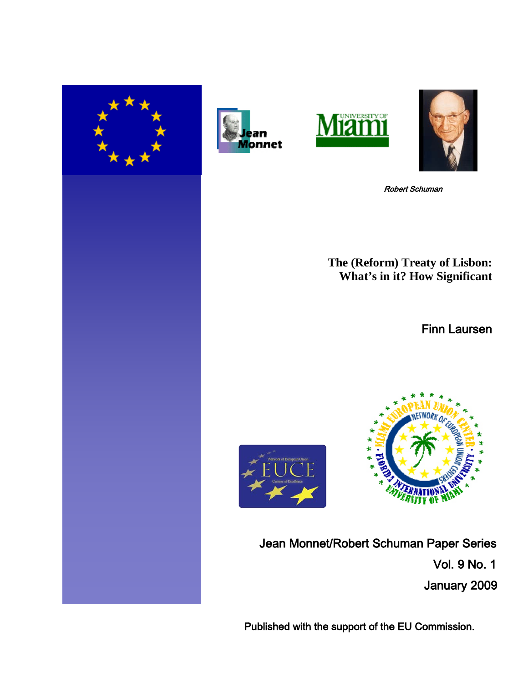







Robert Schuman

# **The (Reform) Treaty of Lisbon: What's in it? How Significant**

Finn Laursen





Jean Monnet/Robert Schuman Paper Series Vol. 9 No. 1 January 2009

Published with the support of the EU Commission.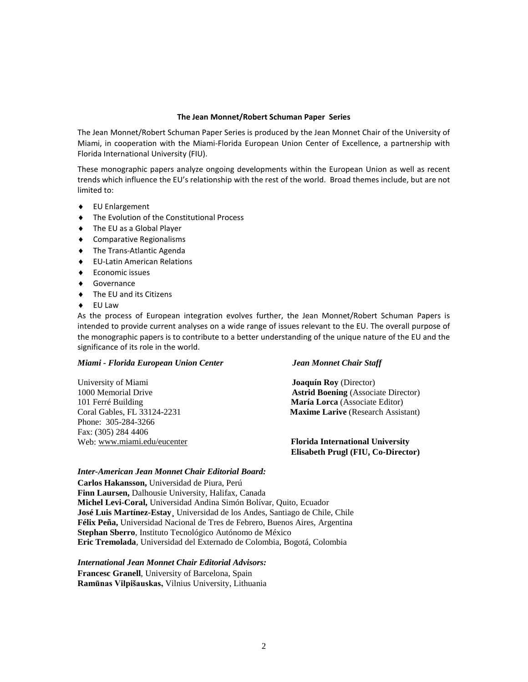#### **The Jean Monnet/Robert Schuman Paper Series**

The Jean Monnet/Robert Schuman Paper Series is produced by the Jean Monnet Chair of the University of Miami, in cooperation with the Miami-Florida European Union Center of Excellence, a partnership with Florida International University (FIU).

These monographic papers analyze ongoing developments within the European Union as well as recent trends which influence the EU's relationship with the rest of the world. Broad themes include, but are not limited to:

- ♦ EU Enlargement
- ♦ The Evolution of the Constitutional Process
- ♦ The EU as a Global Player
- ♦ Comparative Regionalisms
- ♦ The Trans-Atlantic Agenda
- ♦ EU-Latin American Relations
- ♦ Economic issues
- ♦ Governance
- ♦ The EU and its Citizens
- ♦ EU Law

As the process of European integration evolves further, the Jean Monnet/Robert Schuman Papers is intended to provide current analyses on a wide range of issues relevant to the EU. The overall purpose of the monographic papers is to contribute to a better understanding of the unique nature of the EU and the significance of its role in the world.

#### *Miami - Florida European Union Center Jean Monnet Chair Staff*

| University of Miami         | <b>Joaquín Roy</b> (Director)              |
|-----------------------------|--------------------------------------------|
| 1000 Memorial Drive         | <b>Astrid Boening</b> (Associate Director) |
| 101 Ferré Building          | María Lorca (Associate Editor)             |
| Coral Gables, FL 33124-2231 | <b>Maxime Larive</b> (Research Assistant)  |
| Phone: 305-284-3266         |                                            |
| Fax: (305) 284 4406         |                                            |
| Web: www.miami.edu/eucenter | <b>Florida International University</b>    |
|                             | Elisabeth Prugl (FIU, Co-Director)         |

#### *Inter-American Jean Monnet Chair Editorial Board:*

**Carlos Hakansson,** Universidad de Piura, Perú **Finn Laursen,** Dalhousie University, Halifax, Canada **Michel Levi-Coral,** Universidad Andina Simón Bolívar, Quito, Ecuador **José Luis Martínez-Estay¸** Universidad de los Andes, Santiago de Chile, Chile **Félix Peña,** Universidad Nacional de Tres de Febrero, Buenos Aires, Argentina **Stephan Sberro**, Instituto Tecnológico Autónomo de México **Eric Tremolada**, Universidad del Externado de Colombia, Bogotá, Colombia

*International Jean Monnet Chair Editorial Advisors:* **Francesc Granell**, University of Barcelona, Spain **Ramūnas Vilpišauskas,** Vilnius University, Lithuania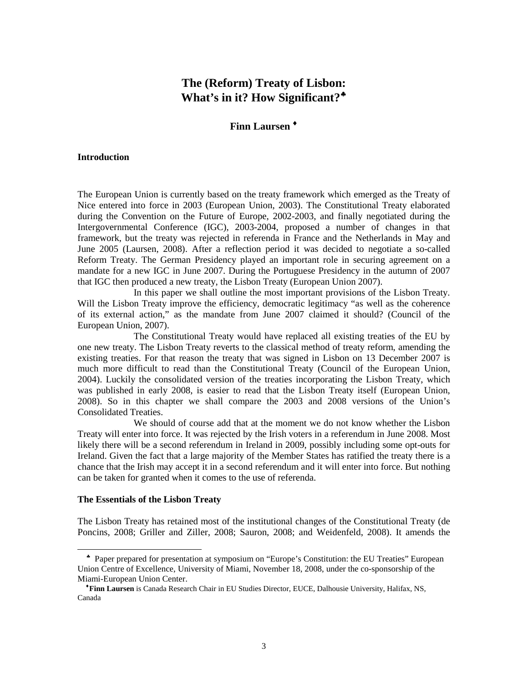# **The (Reform) Treaty of Lisbon: What's in it? How Significant?**[♣](#page-2-0)

## **Finn Laursen** [♦](#page-2-1)

#### **Introduction**

The European Union is currently based on the treaty framework which emerged as the Treaty of Nice entered into force in 2003 (European Union, 2003). The Constitutional Treaty elaborated during the Convention on the Future of Europe, 2002-2003, and finally negotiated during the Intergovernmental Conference (IGC), 2003-2004, proposed a number of changes in that framework, but the treaty was rejected in referenda in France and the Netherlands in May and June 2005 (Laursen, 2008). After a reflection period it was decided to negotiate a so-called Reform Treaty. The German Presidency played an important role in securing agreement on a mandate for a new IGC in June 2007. During the Portuguese Presidency in the autumn of 2007 that IGC then produced a new treaty, the Lisbon Treaty (European Union 2007).

In this paper we shall outline the most important provisions of the Lisbon Treaty. Will the Lisbon Treaty improve the efficiency, democratic legitimacy "as well as the coherence of its external action," as the mandate from June 2007 claimed it should? (Council of the European Union, 2007).

The Constitutional Treaty would have replaced all existing treaties of the EU by one new treaty. The Lisbon Treaty reverts to the classical method of treaty reform, amending the existing treaties. For that reason the treaty that was signed in Lisbon on 13 December 2007 is much more difficult to read than the Constitutional Treaty (Council of the European Union, 2004). Luckily the consolidated version of the treaties incorporating the Lisbon Treaty, which was published in early 2008, is easier to read that the Lisbon Treaty itself (European Union, 2008). So in this chapter we shall compare the 2003 and 2008 versions of the Union's Consolidated Treaties.

We should of course add that at the moment we do not know whether the Lisbon Treaty will enter into force. It was rejected by the Irish voters in a referendum in June 2008. Most likely there will be a second referendum in Ireland in 2009, possibly including some opt-outs for Ireland. Given the fact that a large majority of the Member States has ratified the treaty there is a chance that the Irish may accept it in a second referendum and it will enter into force. But nothing can be taken for granted when it comes to the use of referenda.

#### **The Essentials of the Lisbon Treaty**

 $\overline{a}$ 

The Lisbon Treaty has retained most of the institutional changes of the Constitutional Treaty (de Poncins, 2008; Griller and Ziller, 2008; Sauron, 2008; and Weidenfeld, 2008). It amends the

<span id="page-2-0"></span>♣ Paper prepared for presentation at symposium on "Europe's Constitution: the EU Treaties" European Union Centre of Excellence, University of Miami, November 18, 2008, under the co-sponsorship of the Miami-European Union Center.

<span id="page-2-1"></span>♦**Finn Laursen** is Canada Research Chair in EU Studies Director, EUCE, Dalhousie University, Halifax, NS, Canada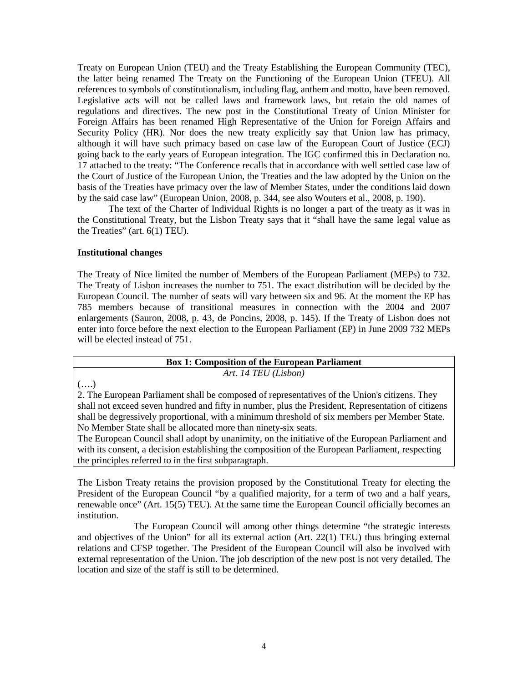Treaty on European Union (TEU) and the Treaty Establishing the European Community (TEC), the latter being renamed The Treaty on the Functioning of the European Union (TFEU). All references to symbols of constitutionalism, including flag, anthem and motto, have been removed. Legislative acts will not be called laws and framework laws, but retain the old names of regulations and directives. The new post in the Constitutional Treaty of Union Minister for Foreign Affairs has been renamed High Representative of the Union for Foreign Affairs and Security Policy (HR). Nor does the new treaty explicitly say that Union law has primacy, although it will have such primacy based on case law of the European Court of Justice (ECJ) going back to the early years of European integration. The IGC confirmed this in Declaration no. 17 attached to the treaty: "The Conference recalls that in accordance with well settled case law of the Court of Justice of the European Union, the Treaties and the law adopted by the Union on the basis of the Treaties have primacy over the law of Member States, under the conditions laid down by the said case law" (European Union, 2008, p. 344, see also Wouters et al., 2008, p. 190).

The text of the Charter of Individual Rights is no longer a part of the treaty as it was in the Constitutional Treaty, but the Lisbon Treaty says that it "shall have the same legal value as the Treaties" (art. 6(1) TEU).

## **Institutional changes**

The Treaty of Nice limited the number of Members of the European Parliament (MEPs) to 732. The Treaty of Lisbon increases the number to 751. The exact distribution will be decided by the European Council. The number of seats will vary between six and 96. At the moment the EP has 785 members because of transitional measures in connection with the 2004 and 2007 enlargements (Sauron, 2008, p. 43, de Poncins, 2008, p. 145). If the Treaty of Lisbon does not enter into force before the next election to the European Parliament (EP) in June 2009 732 MEPs will be elected instead of 751.

| <b>Box 1: Composition of the European Parliament</b> |  |
|------------------------------------------------------|--|
| Art. 14 TEU (Lisbon)                                 |  |

#### (….)

2. The European Parliament shall be composed of representatives of the Union's citizens. They shall not exceed seven hundred and fifty in number, plus the President. Representation of citizens shall be degressively proportional, with a minimum threshold of six members per Member State. No Member State shall be allocated more than ninety-six seats.

The European Council shall adopt by unanimity, on the initiative of the European Parliament and with its consent, a decision establishing the composition of the European Parliament, respecting the principles referred to in the first subparagraph.

The Lisbon Treaty retains the provision proposed by the Constitutional Treaty for electing the President of the European Council "by a qualified majority, for a term of two and a half years, renewable once" (Art. 15(5) TEU). At the same time the European Council officially becomes an institution.

The European Council will among other things determine "the strategic interests and objectives of the Union" for all its external action (Art. 22(1) TEU) thus bringing external relations and CFSP together. The President of the European Council will also be involved with external representation of the Union. The job description of the new post is not very detailed. The location and size of the staff is still to be determined.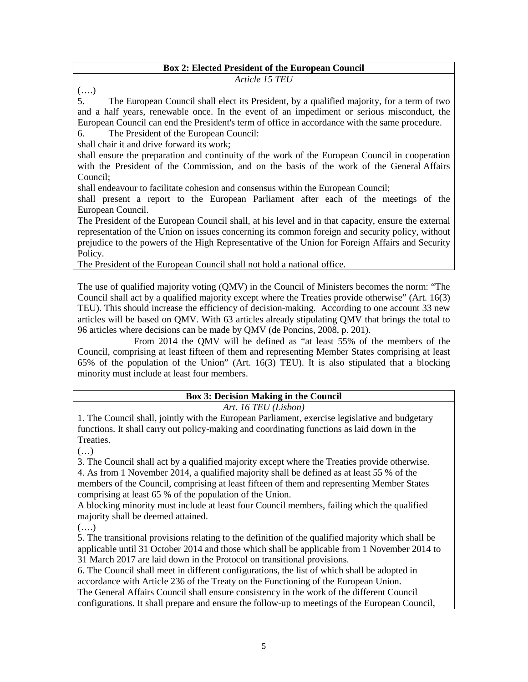# **Box 2: Elected President of the European Council**

## *Article 15 TEU*

(….)

5. The European Council shall elect its President, by a qualified majority, for a term of two and a half years, renewable once. In the event of an impediment or serious misconduct, the European Council can end the President's term of office in accordance with the same procedure.

6. The President of the European Council:

shall chair it and drive forward its work;

shall ensure the preparation and continuity of the work of the European Council in cooperation with the President of the Commission, and on the basis of the work of the General Affairs Council;

shall endeavour to facilitate cohesion and consensus within the European Council;

shall present a report to the European Parliament after each of the meetings of the European Council.

The President of the European Council shall, at his level and in that capacity, ensure the external representation of the Union on issues concerning its common foreign and security policy, without prejudice to the powers of the High Representative of the Union for Foreign Affairs and Security Policy.

The President of the European Council shall not hold a national office.

The use of qualified majority voting (QMV) in the Council of Ministers becomes the norm: "The Council shall act by a qualified majority except where the Treaties provide otherwise" (Art. 16(3) TEU). This should increase the efficiency of decision-making. According to one account 33 new articles will be based on QMV. With 63 articles already stipulating QMV that brings the total to 96 articles where decisions can be made by QMV (de Poncins, 2008, p. 201).

From 2014 the QMV will be defined as "at least 55% of the members of the Council, comprising at least fifteen of them and representing Member States comprising at least 65% of the population of the Union" (Art. 16(3) TEU). It is also stipulated that a blocking minority must include at least four members.

## **Box 3: Decision Making in the Council**

*Art. 16 TEU (Lisbon)*

1. The Council shall, jointly with the European Parliament, exercise legislative and budgetary functions. It shall carry out policy-making and coordinating functions as laid down in the Treaties.

(…)

3. The Council shall act by a qualified majority except where the Treaties provide otherwise. 4. As from 1 November 2014, a qualified majority shall be defined as at least 55 % of the members of the Council, comprising at least fifteen of them and representing Member States comprising at least 65 % of the population of the Union.

A blocking minority must include at least four Council members, failing which the qualified majority shall be deemed attained.

 $(\ldots)$ 

5. The transitional provisions relating to the definition of the qualified majority which shall be applicable until 31 October 2014 and those which shall be applicable from 1 November 2014 to 31 March 2017 are laid down in the Protocol on transitional provisions.

6. The Council shall meet in different configurations, the list of which shall be adopted in accordance with Article 236 of the Treaty on the Functioning of the European Union. The General Affairs Council shall ensure consistency in the work of the different Council configurations. It shall prepare and ensure the follow-up to meetings of the European Council,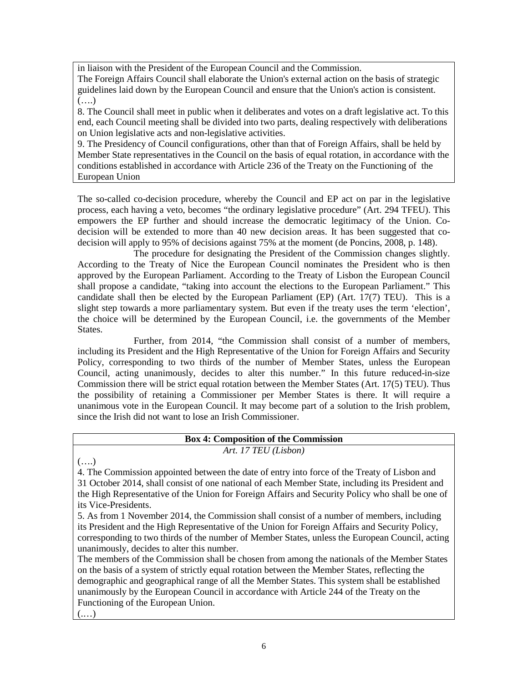in liaison with the President of the European Council and the Commission.

The Foreign Affairs Council shall elaborate the Union's external action on the basis of strategic guidelines laid down by the European Council and ensure that the Union's action is consistent. (….)

8. The Council shall meet in public when it deliberates and votes on a draft legislative act. To this end, each Council meeting shall be divided into two parts, dealing respectively with deliberations on Union legislative acts and non-legislative activities.

9. The Presidency of Council configurations, other than that of Foreign Affairs, shall be held by Member State representatives in the Council on the basis of equal rotation, in accordance with the conditions established in accordance with Article 236 of the Treaty on the Functioning of the European Union

The so-called co-decision procedure, whereby the Council and EP act on par in the legislative process, each having a veto, becomes "the ordinary legislative procedure" (Art. 294 TFEU). This empowers the EP further and should increase the democratic legitimacy of the Union. Codecision will be extended to more than 40 new decision areas. It has been suggested that codecision will apply to 95% of decisions against 75% at the moment (de Poncins, 2008, p. 148).

The procedure for designating the President of the Commission changes slightly. According to the Treaty of Nice the European Council nominates the President who is then approved by the European Parliament. According to the Treaty of Lisbon the European Council shall propose a candidate, "taking into account the elections to the European Parliament." This candidate shall then be elected by the European Parliament (EP) (Art. 17(7) TEU). This is a slight step towards a more parliamentary system. But even if the treaty uses the term 'election', the choice will be determined by the European Council, i.e. the governments of the Member States.

Further, from 2014, "the Commission shall consist of a number of members, including its President and the High Representative of the Union for Foreign Affairs and Security Policy, corresponding to two thirds of the number of Member States, unless the European Council, acting unanimously, decides to alter this number." In this future reduced-in-size Commission there will be strict equal rotation between the Member States (Art. 17(5) TEU). Thus the possibility of retaining a Commissioner per Member States is there. It will require a unanimous vote in the European Council. It may become part of a solution to the Irish problem, since the Irish did not want to lose an Irish Commissioner.

|                      | <b>Box 4: Composition of the Commission</b>                                                      |  |
|----------------------|--------------------------------------------------------------------------------------------------|--|
| Art. 17 TEU (Lisbon) |                                                                                                  |  |
|                      | ()                                                                                               |  |
|                      | 4. The Commission appointed between the date of entry into force of the Treaty of Lisbon and     |  |
|                      | 31 October 2014, shall consist of one national of each Member State, including its President and |  |
|                      | the High Representative of the Union for Foreign Affairs and Security Policy who shall be one of |  |
|                      | its Vice-Presidents.                                                                             |  |
|                      | 5. As from 1 November 2014, the Commission shall consist of a number of members, including       |  |
|                      | its President and the High Representative of the Union for Foreign Affairs and Security Policy,  |  |
|                      | corresponding to two thirds of the number of Member States, unless the European Council, acting  |  |
|                      | unanimously, decides to alter this number.                                                       |  |
|                      | The members of the Commission shall be chosen from among the nationals of the Member States      |  |
|                      | on the basis of a system of strictly equal rotation between the Member States, reflecting the    |  |
|                      | demographic and geographical range of all the Member States. This system shall be established    |  |
|                      |                                                                                                  |  |

unanimously by the European Council in accordance with Article 244 of the Treaty on the Functioning of the European Union.

(.…)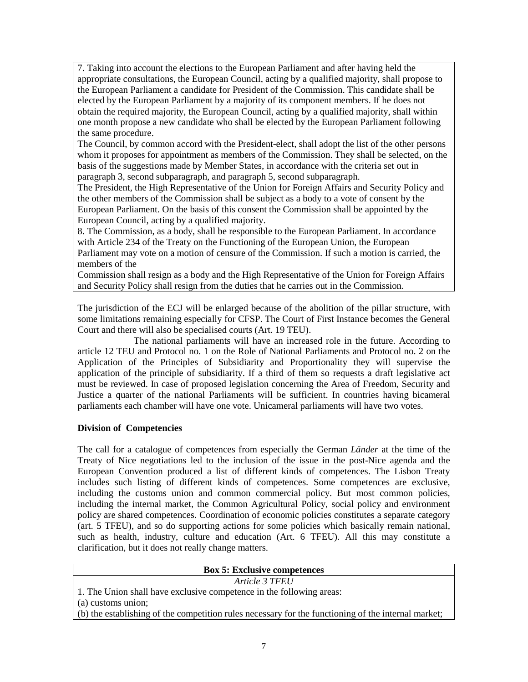7. Taking into account the elections to the European Parliament and after having held the appropriate consultations, the European Council, acting by a qualified majority, shall propose to the European Parliament a candidate for President of the Commission. This candidate shall be elected by the European Parliament by a majority of its component members. If he does not obtain the required majority, the European Council, acting by a qualified majority, shall within one month propose a new candidate who shall be elected by the European Parliament following the same procedure.

The Council, by common accord with the President-elect, shall adopt the list of the other persons whom it proposes for appointment as members of the Commission. They shall be selected, on the basis of the suggestions made by Member States, in accordance with the criteria set out in paragraph 3, second subparagraph, and paragraph 5, second subparagraph.

The President, the High Representative of the Union for Foreign Affairs and Security Policy and the other members of the Commission shall be subject as a body to a vote of consent by the European Parliament. On the basis of this consent the Commission shall be appointed by the European Council, acting by a qualified majority.

8. The Commission, as a body, shall be responsible to the European Parliament. In accordance with Article 234 of the Treaty on the Functioning of the European Union, the European Parliament may vote on a motion of censure of the Commission. If such a motion is carried, the members of the

Commission shall resign as a body and the High Representative of the Union for Foreign Affairs and Security Policy shall resign from the duties that he carries out in the Commission.

The jurisdiction of the ECJ will be enlarged because of the abolition of the pillar structure, with some limitations remaining especially for CFSP. The Court of First Instance becomes the General Court and there will also be specialised courts (Art. 19 TEU).

The national parliaments will have an increased role in the future. According to article 12 TEU and Protocol no. 1 on the Role of National Parliaments and Protocol no. 2 on the Application of the Principles of Subsidiarity and Proportionality they will supervise the application of the principle of subsidiarity. If a third of them so requests a draft legislative act must be reviewed. In case of proposed legislation concerning the Area of Freedom, Security and Justice a quarter of the national Parliaments will be sufficient. In countries having bicameral parliaments each chamber will have one vote. Unicameral parliaments will have two votes.

## **Division of Competencies**

The call for a catalogue of competences from especially the German *Länder* at the time of the Treaty of Nice negotiations led to the inclusion of the issue in the post-Nice agenda and the European Convention produced a list of different kinds of competences. The Lisbon Treaty includes such listing of different kinds of competences. Some competences are exclusive, including the customs union and common commercial policy. But most common policies, including the internal market, the Common Agricultural Policy, social policy and environment policy are shared competences. Coordination of economic policies constitutes a separate category (art. 5 TFEU), and so do supporting actions for some policies which basically remain national, such as health, industry, culture and education (Art. 6 TFEU). All this may constitute a clarification, but it does not really change matters.

| <b>Box 5: Exclusive competences</b>                                                                 |  |
|-----------------------------------------------------------------------------------------------------|--|
| Article 3 TFEU                                                                                      |  |
| 1. The Union shall have exclusive competence in the following areas:                                |  |
| (a) customs union;                                                                                  |  |
| (b) the establishing of the competition rules necessary for the functioning of the internal market; |  |
|                                                                                                     |  |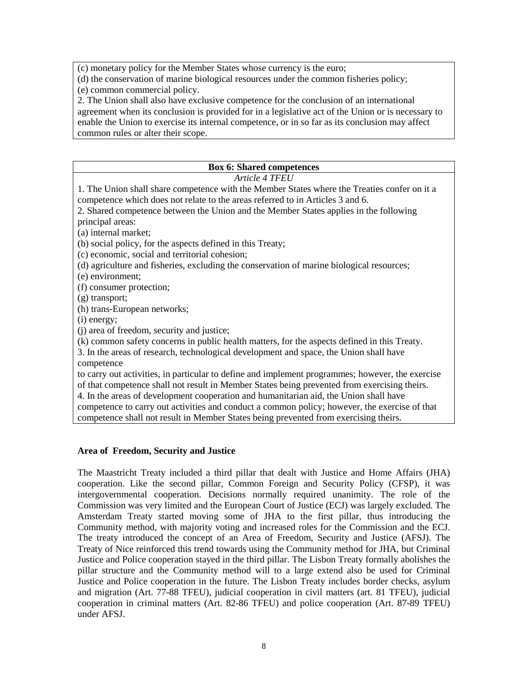(c) monetary policy for the Member States whose currency is the euro;

(d) the conservation of marine biological resources under the common fisheries policy; (e) common commercial policy.

2. The Union shall also have exclusive competence for the conclusion of an international agreement when its conclusion is provided for in a legislative act of the Union or is necessary to enable the Union to exercise its internal competence, or in so far as its conclusion may affect common rules or alter their scope.

## **Box 6: Shared competences**

## *Article 4 TFEU*

1. The Union shall share competence with the Member States where the Treaties confer on it a competence which does not relate to the areas referred to in Articles 3 and 6.

2. Shared competence between the Union and the Member States applies in the following principal areas:

(a) internal market;

(b) social policy, for the aspects defined in this Treaty;

(c) economic, social and territorial cohesion;

(d) agriculture and fisheries, excluding the conservation of marine biological resources;

(e) environment;

(f) consumer protection;

(g) transport;

(h) trans-European networks;

(i) energy;

(j) area of freedom, security and justice;

(k) common safety concerns in public health matters, for the aspects defined in this Treaty.

3. In the areas of research, technological development and space, the Union shall have competence

to carry out activities, in particular to define and implement programmes; however, the exercise of that competence shall not result in Member States being prevented from exercising theirs.

4. In the areas of development cooperation and humanitarian aid, the Union shall have

competence to carry out activities and conduct a common policy; however, the exercise of that competence shall not result in Member States being prevented from exercising theirs.

## **Area of Freedom, Security and Justice**

The Maastricht Treaty included a third pillar that dealt with Justice and Home Affairs (JHA) cooperation. Like the second pillar, Common Foreign and Security Policy (CFSP), it was intergovernmental cooperation. Decisions normally required unanimity. The role of the Commission was very limited and the European Court of Justice (ECJ) was largely excluded. The Amsterdam Treaty started moving some of JHA to the first pillar, thus introducing the Community method, with majority voting and increased roles for the Commission and the ECJ. The treaty introduced the concept of an Area of Freedom, Security and Justice (AFSJ). The Treaty of Nice reinforced this trend towards using the Community method for JHA, but Criminal Justice and Police cooperation stayed in the third pillar. The Lisbon Treaty formally abolishes the pillar structure and the Community method will to a large extend also be used for Criminal Justice and Police cooperation in the future. The Lisbon Treaty includes border checks, asylum and migration (Art. 77-88 TFEU), judicial cooperation in civil matters (art. 81 TFEU), judicial cooperation in criminal matters (Art. 82-86 TFEU) and police cooperation (Art. 87-89 TFEU) under AFSJ.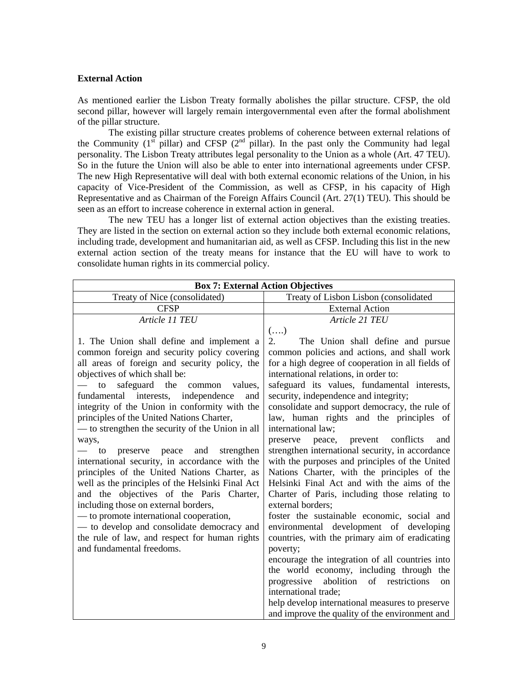## **External Action**

As mentioned earlier the Lisbon Treaty formally abolishes the pillar structure. CFSP, the old second pillar, however will largely remain intergovernmental even after the formal abolishment of the pillar structure.

The existing pillar structure creates problems of coherence between external relations of the Community ( $1<sup>st</sup>$  pillar) and CFSP ( $2<sup>nd</sup>$  pillar). In the past only the Community had legal personality. The Lisbon Treaty attributes legal personality to the Union as a whole (Art. 47 TEU). So in the future the Union will also be able to enter into international agreements under CFSP. The new High Representative will deal with both external economic relations of the Union, in his capacity of Vice-President of the Commission, as well as CFSP, in his capacity of High Representative and as Chairman of the Foreign Affairs Council (Art. 27(1) TEU). This should be seen as an effort to increase coherence in external action in general.

The new TEU has a longer list of external action objectives than the existing treaties. They are listed in the section on external action so they include both external economic relations, including trade, development and humanitarian aid, as well as CFSP. Including this list in the new external action section of the treaty means for instance that the EU will have to work to consolidate human rights in its commercial policy.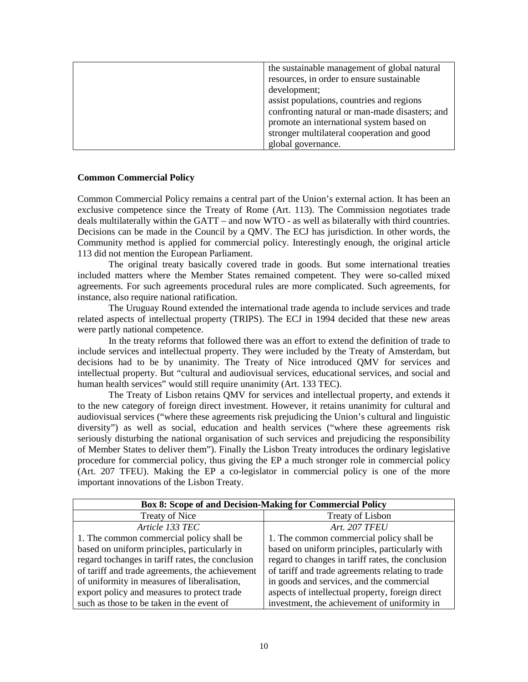| the sustainable management of global natural   |
|------------------------------------------------|
| resources, in order to ensure sustainable      |
| development;                                   |
| assist populations, countries and regions      |
| confronting natural or man-made disasters; and |
| promote an international system based on       |
| stronger multilateral cooperation and good     |
| global governance.                             |

## **Common Commercial Policy**

Common Commercial Policy remains a central part of the Union's external action. It has been an exclusive competence since the Treaty of Rome (Art. 113). The Commission negotiates trade deals multilaterally within the GATT – and now WTO - as well as bilaterally with third countries. Decisions can be made in the Council by a QMV. The ECJ has jurisdiction. In other words, the Community method is applied for commercial policy. Interestingly enough, the original article 113 did not mention the European Parliament.

The original treaty basically covered trade in goods. But some international treaties included matters where the Member States remained competent. They were so-called mixed agreements. For such agreements procedural rules are more complicated. Such agreements, for instance, also require national ratification.

The Uruguay Round extended the international trade agenda to include services and trade related aspects of intellectual property (TRIPS). The ECJ in 1994 decided that these new areas were partly national competence.

In the treaty reforms that followed there was an effort to extend the definition of trade to include services and intellectual property. They were included by the Treaty of Amsterdam, but decisions had to be by unanimity. The Treaty of Nice introduced QMV for services and intellectual property. But "cultural and audiovisual services, educational services, and social and human health services" would still require unanimity (Art. 133 TEC).

The Treaty of Lisbon retains QMV for services and intellectual property, and extends it to the new category of foreign direct investment. However, it retains unanimity for cultural and audiovisual services ("where these agreements risk prejudicing the Union's cultural and linguistic diversity") as well as social, education and health services ("where these agreements risk seriously disturbing the national organisation of such services and prejudicing the responsibility of Member States to deliver them"). Finally the Lisbon Treaty introduces the ordinary legislative procedure for commercial policy, thus giving the EP a much stronger role in commercial policy (Art. 207 TFEU). Making the EP a co-legislator in commercial policy is one of the more important innovations of the Lisbon Treaty.

| <b>Box 8: Scope of and Decision-Making for Commercial Policy</b> |                                                   |
|------------------------------------------------------------------|---------------------------------------------------|
| Treaty of Nice                                                   | Treaty of Lisbon                                  |
| Article 133 TEC                                                  | Art. 207 TFEU                                     |
| 1. The common commercial policy shall be                         | 1. The common commercial policy shall be          |
| based on uniform principles, particularly in                     | based on uniform principles, particularly with    |
| regard tochanges in tariff rates, the conclusion                 | regard to changes in tariff rates, the conclusion |
| of tariff and trade agreements, the achievement                  | of tariff and trade agreements relating to trade  |
| of uniformity in measures of liberalisation,                     | in goods and services, and the commercial         |
| export policy and measures to protect trade                      | aspects of intellectual property, foreign direct  |
| such as those to be taken in the event of                        | investment, the achievement of uniformity in      |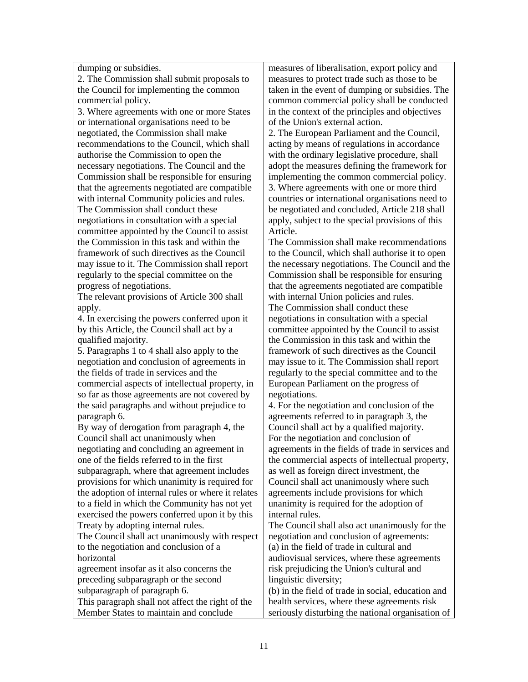dumping or subsidies.

2. The Commission shall submit proposals to the Council for implementing the common commercial policy.

3. Where agreements with one or more States or international organisations need to be negotiated, the Commission shall make recommendations to the Council, which shall authorise the Commission to open the necessary negotiations. The Council and the Commission shall be responsible for ensuring that the agreements negotiated are compatible with internal Community policies and rules. The Commission shall conduct these negotiations in consultation with a special committee appointed by the Council to assist the Commission in this task and within the framework of such directives as the Council may issue to it. The Commission shall report regularly to the special committee on the progress of negotiations.

The relevant provisions of Article 300 shall apply.

4. In exercising the powers conferred upon it by this Article, the Council shall act by a qualified majority.

5. Paragraphs 1 to 4 shall also apply to the negotiation and conclusion of agreements in the fields of trade in services and the commercial aspects of intellectual property, in so far as those agreements are not covered by the said paragraphs and without prejudice to paragraph 6.

By way of derogation from paragraph 4, the Council shall act unanimously when negotiating and concluding an agreement in one of the fields referred to in the first subparagraph, where that agreement includes provisions for which unanimity is required for the adoption of internal rules or where it relates to a field in which the Community has not yet exercised the powers conferred upon it by this Treaty by adopting internal rules.

The Council shall act unanimously with respect to the negotiation and conclusion of a horizontal

agreement insofar as it also concerns the preceding subparagraph or the second subparagraph of paragraph 6. This paragraph shall not affect the right of the

Member States to maintain and conclude

measures of liberalisation, export policy and measures to protect trade such as those to be taken in the event of dumping or subsidies. The common commercial policy shall be conducted in the context of the principles and objectives of the Union's external action.

2. The European Parliament and the Council, acting by means of regulations in accordance with the ordinary legislative procedure, shall adopt the measures defining the framework for implementing the common commercial policy. 3. Where agreements with one or more third countries or international organisations need to be negotiated and concluded, Article 218 shall apply, subject to the special provisions of this Article.

The Commission shall make recommendations to the Council, which shall authorise it to open the necessary negotiations. The Council and the Commission shall be responsible for ensuring that the agreements negotiated are compatible with internal Union policies and rules. The Commission shall conduct these negotiations in consultation with a special committee appointed by the Council to assist the Commission in this task and within the framework of such directives as the Council may issue to it. The Commission shall report regularly to the special committee and to the European Parliament on the progress of negotiations.

4. For the negotiation and conclusion of the agreements referred to in paragraph 3, the Council shall act by a qualified majority. For the negotiation and conclusion of agreements in the fields of trade in services and the commercial aspects of intellectual property, as well as foreign direct investment, the Council shall act unanimously where such agreements include provisions for which unanimity is required for the adoption of internal rules.

The Council shall also act unanimously for the negotiation and conclusion of agreements: (a) in the field of trade in cultural and audiovisual services, where these agreements risk prejudicing the Union's cultural and linguistic diversity;

(b) in the field of trade in social, education and health services, where these agreements risk seriously disturbing the national organisation of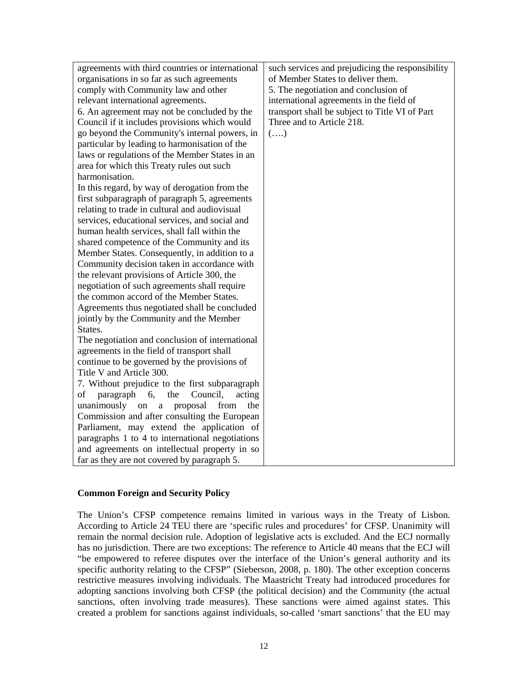| agreements with third countries or international      | such services and prejudicing the responsibility |
|-------------------------------------------------------|--------------------------------------------------|
| organisations in so far as such agreements            | of Member States to deliver them.                |
| comply with Community law and other                   | 5. The negotiation and conclusion of             |
| relevant international agreements.                    | international agreements in the field of         |
| 6. An agreement may not be concluded by the           | transport shall be subject to Title VI of Part   |
| Council if it includes provisions which would         | Three and to Article 218.                        |
| go beyond the Community's internal powers, in         | $(\ldots)$                                       |
| particular by leading to harmonisation of the         |                                                  |
| laws or regulations of the Member States in an        |                                                  |
| area for which this Treaty rules out such             |                                                  |
| harmonisation.                                        |                                                  |
| In this regard, by way of derogation from the         |                                                  |
| first subparagraph of paragraph 5, agreements         |                                                  |
| relating to trade in cultural and audiovisual         |                                                  |
| services, educational services, and social and        |                                                  |
| human health services, shall fall within the          |                                                  |
| shared competence of the Community and its            |                                                  |
| Member States. Consequently, in addition to a         |                                                  |
| Community decision taken in accordance with           |                                                  |
| the relevant provisions of Article 300, the           |                                                  |
| negotiation of such agreements shall require          |                                                  |
| the common accord of the Member States.               |                                                  |
| Agreements thus negotiated shall be concluded         |                                                  |
| jointly by the Community and the Member               |                                                  |
| States.                                               |                                                  |
| The negotiation and conclusion of international       |                                                  |
| agreements in the field of transport shall            |                                                  |
| continue to be governed by the provisions of          |                                                  |
| Title V and Article 300.                              |                                                  |
| 7. Without prejudice to the first subparagraph        |                                                  |
| paragraph<br>Council,<br>of<br>6,<br>the<br>acting    |                                                  |
| unanimously on<br>proposal<br>$\rm{a}$<br>from<br>the |                                                  |
| Commission and after consulting the European          |                                                  |
| Parliament, may extend the application of             |                                                  |
| paragraphs 1 to 4 to international negotiations       |                                                  |
| and agreements on intellectual property in so         |                                                  |
| far as they are not covered by paragraph 5.           |                                                  |

#### **Common Foreign and Security Policy**

The Union's CFSP competence remains limited in various ways in the Treaty of Lisbon. According to Article 24 TEU there are 'specific rules and procedures' for CFSP. Unanimity will remain the normal decision rule. Adoption of legislative acts is excluded. And the ECJ normally has no jurisdiction. There are two exceptions: The reference to Article 40 means that the ECJ will "be empowered to referee disputes over the interface of the Union's general authority and its specific authority relating to the CFSP" (Sieberson, 2008, p. 180). The other exception concerns restrictive measures involving individuals. The Maastricht Treaty had introduced procedures for adopting sanctions involving both CFSP (the political decision) and the Community (the actual sanctions, often involving trade measures). These sanctions were aimed against states. This created a problem for sanctions against individuals, so-called 'smart sanctions' that the EU may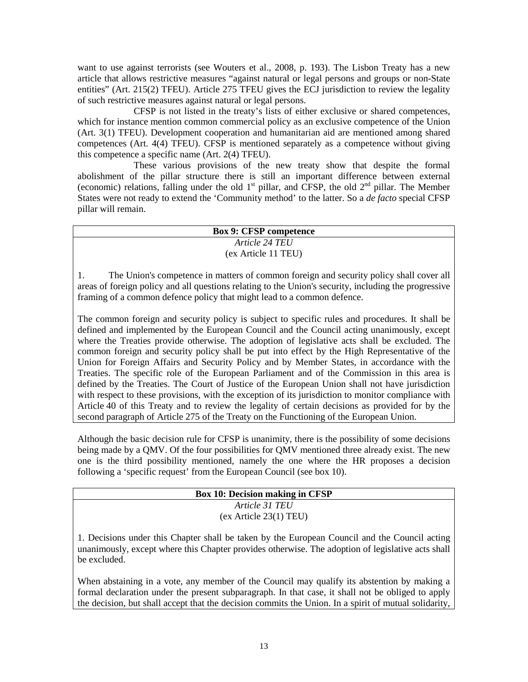want to use against terrorists (see Wouters et al., 2008, p. 193). The Lisbon Treaty has a new article that allows restrictive measures "against natural or legal persons and groups or non-State entities" (Art. 215(2) TFEU). Article 275 TFEU gives the ECJ jurisdiction to review the legality of such restrictive measures against natural or legal persons.

CFSP is not listed in the treaty's lists of either exclusive or shared competences, which for instance mention common commercial policy as an exclusive competence of the Union (Art. 3(1) TFEU). Development cooperation and humanitarian aid are mentioned among shared competences (Art. 4(4) TFEU). CFSP is mentioned separately as a competence without giving this competence a specific name (Art. 2(4) TFEU).

These various provisions of the new treaty show that despite the formal abolishment of the pillar structure there is still an important difference between external (economic) relations, falling under the old  $1<sup>st</sup>$  pillar, and CFSP, the old  $2<sup>nd</sup>$  pillar. The Member States were not ready to extend the 'Community method' to the latter. So a *de facto* special CFSP pillar will remain.

## **Box 9: CFSP competence** *Article 24 TEU* (ex Article 11 TEU)

1. The Union's competence in matters of common foreign and security policy shall cover all areas of foreign policy and all questions relating to the Union's security, including the progressive framing of a common defence policy that might lead to a common defence.

The common foreign and security policy is subject to specific rules and procedures. It shall be defined and implemented by the European Council and the Council acting unanimously, except where the Treaties provide otherwise. The adoption of legislative acts shall be excluded. The common foreign and security policy shall be put into effect by the High Representative of the Union for Foreign Affairs and Security Policy and by Member States, in accordance with the Treaties. The specific role of the European Parliament and of the Commission in this area is defined by the Treaties. The Court of Justice of the European Union shall not have jurisdiction with respect to these provisions, with the exception of its jurisdiction to monitor compliance with Article 40 of this Treaty and to review the legality of certain decisions as provided for by the second paragraph of Article 275 of the Treaty on the Functioning of the European Union.

Although the basic decision rule for CFSP is unanimity, there is the possibility of some decisions being made by a QMV. Of the four possibilities for QMV mentioned three already exist. The new one is the third possibility mentioned, namely the one where the HR proposes a decision following a 'specific request' from the European Council (see box 10).

| <b>Box 10: Decision making in CFSP</b>                                                               |  |
|------------------------------------------------------------------------------------------------------|--|
| Article 31 TEU                                                                                       |  |
| (ex Article 23(1) TEU)                                                                               |  |
| $\pm$ 1. Decisions under this Chanter shall be taken for the European Caunail and the Caunail asting |  |

1. Decisions under this Chapter shall be taken by the European Council and the Council acting unanimously, except where this Chapter provides otherwise. The adoption of legislative acts shall be excluded.

When abstaining in a vote, any member of the Council may qualify its abstention by making a formal declaration under the present subparagraph. In that case, it shall not be obliged to apply the decision, but shall accept that the decision commits the Union. In a spirit of mutual solidarity,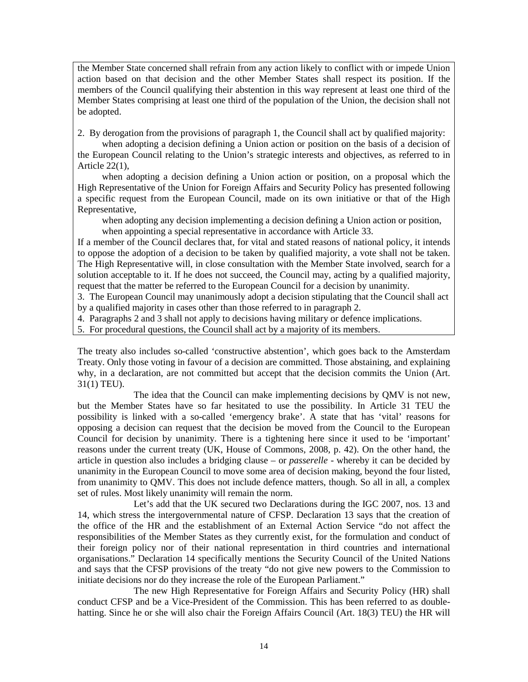the Member State concerned shall refrain from any action likely to conflict with or impede Union action based on that decision and the other Member States shall respect its position. If the members of the Council qualifying their abstention in this way represent at least one third of the Member States comprising at least one third of the population of the Union, the decision shall not be adopted.

2. By derogation from the provisions of paragraph 1, the Council shall act by qualified majority:

when adopting a decision defining a Union action or position on the basis of a decision of the European Council relating to the Union's strategic interests and objectives, as referred to in Article 22(1),

when adopting a decision defining a Union action or position, on a proposal which the High Representative of the Union for Foreign Affairs and Security Policy has presented following a specific request from the European Council, made on its own initiative or that of the High Representative,

when adopting any decision implementing a decision defining a Union action or position,

when appointing a special representative in accordance with Article 33.

If a member of the Council declares that, for vital and stated reasons of national policy, it intends to oppose the adoption of a decision to be taken by qualified majority, a vote shall not be taken. The High Representative will, in close consultation with the Member State involved, search for a solution acceptable to it. If he does not succeed, the Council may, acting by a qualified majority, request that the matter be referred to the European Council for a decision by unanimity.

3. The European Council may unanimously adopt a decision stipulating that the Council shall act by a qualified majority in cases other than those referred to in paragraph 2.

4. Paragraphs 2 and 3 shall not apply to decisions having military or defence implications.

5. For procedural questions, the Council shall act by a majority of its members.

The treaty also includes so-called 'constructive abstention', which goes back to the Amsterdam Treaty. Only those voting in favour of a decision are committed. Those abstaining, and explaining why, in a declaration, are not committed but accept that the decision commits the Union (Art. 31(1) TEU).

The idea that the Council can make implementing decisions by QMV is not new, but the Member States have so far hesitated to use the possibility. In Article 31 TEU the possibility is linked with a so-called 'emergency brake'. A state that has 'vital' reasons for opposing a decision can request that the decision be moved from the Council to the European Council for decision by unanimity. There is a tightening here since it used to be 'important' reasons under the current treaty (UK, House of Commons, 2008, p. 42). On the other hand, the article in question also includes a bridging clause – or *passerelle* - whereby it can be decided by unanimity in the European Council to move some area of decision making, beyond the four listed, from unanimity to QMV. This does not include defence matters, though. So all in all, a complex set of rules. Most likely unanimity will remain the norm.

Let's add that the UK secured two Declarations during the IGC 2007, nos. 13 and 14, which stress the intergovernmental nature of CFSP. Declaration 13 says that the creation of the office of the HR and the establishment of an External Action Service "do not affect the responsibilities of the Member States as they currently exist, for the formulation and conduct of their foreign policy nor of their national representation in third countries and international organisations." Declaration 14 specifically mentions the Security Council of the United Nations and says that the CFSP provisions of the treaty "do not give new powers to the Commission to initiate decisions nor do they increase the role of the European Parliament."

The new High Representative for Foreign Affairs and Security Policy (HR) shall conduct CFSP and be a Vice-President of the Commission. This has been referred to as doublehatting. Since he or she will also chair the Foreign Affairs Council (Art. 18(3) TEU) the HR will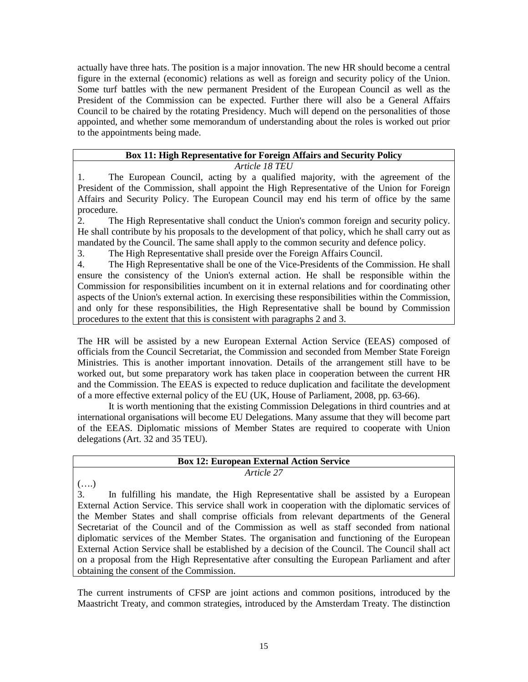actually have three hats. The position is a major innovation. The new HR should become a central figure in the external (economic) relations as well as foreign and security policy of the Union. Some turf battles with the new permanent President of the European Council as well as the President of the Commission can be expected. Further there will also be a General Affairs Council to be chaired by the rotating Presidency. Much will depend on the personalities of those appointed, and whether some memorandum of understanding about the roles is worked out prior to the appointments being made.

## **Box 11: High Representative for Foreign Affairs and Security Policy**

*Article 18 TEU*

1. The European Council, acting by a qualified majority, with the agreement of the President of the Commission, shall appoint the High Representative of the Union for Foreign Affairs and Security Policy. The European Council may end his term of office by the same procedure.

2. The High Representative shall conduct the Union's common foreign and security policy. He shall contribute by his proposals to the development of that policy, which he shall carry out as mandated by the Council. The same shall apply to the common security and defence policy.

3. The High Representative shall preside over the Foreign Affairs Council.

4. The High Representative shall be one of the Vice-Presidents of the Commission. He shall ensure the consistency of the Union's external action. He shall be responsible within the Commission for responsibilities incumbent on it in external relations and for coordinating other aspects of the Union's external action. In exercising these responsibilities within the Commission, and only for these responsibilities, the High Representative shall be bound by Commission procedures to the extent that this is consistent with paragraphs 2 and 3.

The HR will be assisted by a new European External Action Service (EEAS) composed of officials from the Council Secretariat, the Commission and seconded from Member State Foreign Ministries. This is another important innovation. Details of the arrangement still have to be worked out, but some preparatory work has taken place in cooperation between the current HR and the Commission. The EEAS is expected to reduce duplication and facilitate the development of a more effective external policy of the EU (UK, House of Parliament, 2008, pp. 63-66).

It is worth mentioning that the existing Commission Delegations in third countries and at international organisations will become EU Delegations. Many assume that they will become part of the EEAS. Diplomatic missions of Member States are required to cooperate with Union delegations (Art. 32 and 35 TEU).

#### **Box 12: European External Action Service** *Article 27*

(….)

3. In fulfilling his mandate, the High Representative shall be assisted by a European External Action Service. This service shall work in cooperation with the diplomatic services of the Member States and shall comprise officials from relevant departments of the General Secretariat of the Council and of the Commission as well as staff seconded from national diplomatic services of the Member States. The organisation and functioning of the European External Action Service shall be established by a decision of the Council. The Council shall act on a proposal from the High Representative after consulting the European Parliament and after obtaining the consent of the Commission.

The current instruments of CFSP are joint actions and common positions, introduced by the Maastricht Treaty, and common strategies, introduced by the Amsterdam Treaty. The distinction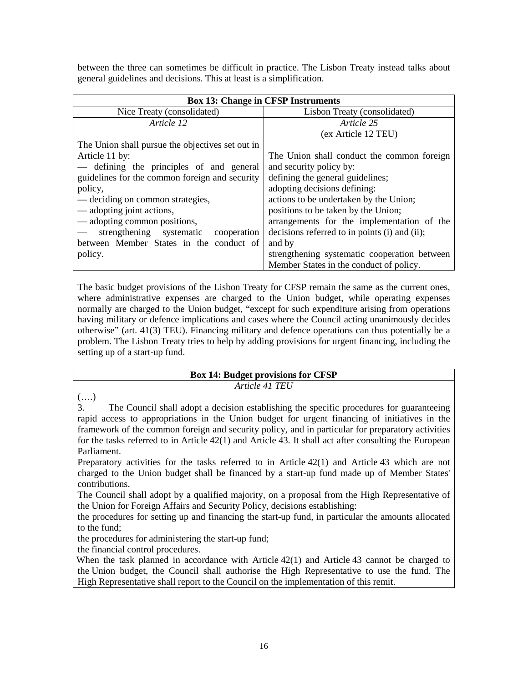between the three can sometimes be difficult in practice. The Lisbon Treaty instead talks about general guidelines and decisions. This at least is a simplification.

| <b>Box 13: Change in CFSP Instruments</b>        |                                               |
|--------------------------------------------------|-----------------------------------------------|
| Nice Treaty (consolidated)                       | Lisbon Treaty (consolidated)                  |
| Article 12                                       | Article 25                                    |
|                                                  | (ex Article 12 TEU)                           |
| The Union shall pursue the objectives set out in |                                               |
| Article 11 by:                                   | The Union shall conduct the common foreign    |
| — defining the principles of and general         | and security policy by:                       |
| guidelines for the common foreign and security   | defining the general guidelines;              |
| policy,                                          | adopting decisions defining:                  |
| — deciding on common strategies,                 | actions to be undertaken by the Union;        |
| — adopting joint actions,                        | positions to be taken by the Union;           |
| — adopting common positions,                     | arrangements for the implementation of the    |
| strengthening systematic cooperation             | decisions referred to in points (i) and (ii); |
| between Member States in the conduct of          | and by                                        |
| policy.                                          | strengthening systematic cooperation between  |
|                                                  | Member States in the conduct of policy.       |

The basic budget provisions of the Lisbon Treaty for CFSP remain the same as the current ones, where administrative expenses are charged to the Union budget, while operating expenses normally are charged to the Union budget, "except for such expenditure arising from operations having military or defence implications and cases where the Council acting unanimously decides otherwise" (art. 41(3) TEU). Financing military and defence operations can thus potentially be a problem. The Lisbon Treaty tries to help by adding provisions for urgent financing, including the setting up of a start-up fund.

# **Box 14: Budget provisions for CFSP**

*Article 41 TEU*

(….)

3. The Council shall adopt a decision establishing the specific procedures for guaranteeing rapid access to appropriations in the Union budget for urgent financing of initiatives in the framework of the common foreign and security policy, and in particular for preparatory activities for the tasks referred to in Article 42(1) and Article 43. It shall act after consulting the European Parliament.

Preparatory activities for the tasks referred to in Article 42(1) and Article 43 which are not charged to the Union budget shall be financed by a start-up fund made up of Member States' contributions.

The Council shall adopt by a qualified majority, on a proposal from the High Representative of the Union for Foreign Affairs and Security Policy, decisions establishing:

the procedures for setting up and financing the start-up fund, in particular the amounts allocated to the fund;

the procedures for administering the start-up fund;

the financial control procedures.

When the task planned in accordance with Article 42(1) and Article 43 cannot be charged to the Union budget, the Council shall authorise the High Representative to use the fund. The High Representative shall report to the Council on the implementation of this remit.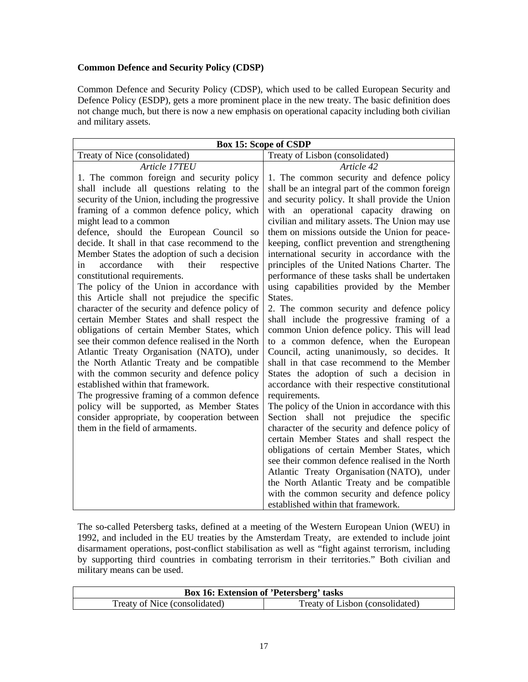## **Common Defence and Security Policy (CDSP)**

Common Defence and Security Policy (CDSP), which used to be called European Security and Defence Policy (ESDP), gets a more prominent place in the new treaty. The basic definition does not change much, but there is now a new emphasis on operational capacity including both civilian and military assets.

|                                                                                                  | <b>Box 15: Scope of CSDP</b>                                                            |
|--------------------------------------------------------------------------------------------------|-----------------------------------------------------------------------------------------|
| Treaty of Nice (consolidated)                                                                    | Treaty of Lisbon (consolidated)                                                         |
| Article 17TEU                                                                                    | Article 42                                                                              |
| 1. The common foreign and security policy                                                        | 1. The common security and defence policy                                               |
| shall include all questions relating to the                                                      | shall be an integral part of the common foreign                                         |
| security of the Union, including the progressive                                                 | and security policy. It shall provide the Union                                         |
| framing of a common defence policy, which                                                        | with an operational capacity drawing on                                                 |
| might lead to a common                                                                           | civilian and military assets. The Union may use                                         |
| defence, should the European Council so                                                          | them on missions outside the Union for peace-                                           |
| decide. It shall in that case recommend to the                                                   | keeping, conflict prevention and strengthening                                          |
| Member States the adoption of such a decision                                                    | international security in accordance with the                                           |
| with<br>accordance<br>their<br>respective<br>in                                                  | principles of the United Nations Charter. The                                           |
| constitutional requirements.                                                                     | performance of these tasks shall be undertaken                                          |
| The policy of the Union in accordance with                                                       | using capabilities provided by the Member                                               |
| this Article shall not prejudice the specific<br>character of the security and defence policy of | States.                                                                                 |
| certain Member States and shall respect the                                                      | 2. The common security and defence policy<br>shall include the progressive framing of a |
| obligations of certain Member States, which                                                      | common Union defence policy. This will lead                                             |
| see their common defence realised in the North                                                   | to a common defence, when the European                                                  |
| Atlantic Treaty Organisation (NATO), under                                                       | Council, acting unanimously, so decides. It                                             |
| the North Atlantic Treaty and be compatible                                                      | shall in that case recommend to the Member                                              |
| with the common security and defence policy                                                      | States the adoption of such a decision in                                               |
| established within that framework.                                                               | accordance with their respective constitutional                                         |
| The progressive framing of a common defence                                                      | requirements.                                                                           |
| policy will be supported, as Member States                                                       | The policy of the Union in accordance with this                                         |
| consider appropriate, by cooperation between                                                     | Section shall not prejudice the specific                                                |
| them in the field of armaments.                                                                  | character of the security and defence policy of                                         |
|                                                                                                  | certain Member States and shall respect the                                             |
|                                                                                                  | obligations of certain Member States, which                                             |
|                                                                                                  | see their common defence realised in the North                                          |
|                                                                                                  | Atlantic Treaty Organisation (NATO), under                                              |
|                                                                                                  | the North Atlantic Treaty and be compatible                                             |
|                                                                                                  | with the common security and defence policy                                             |
|                                                                                                  | established within that framework.                                                      |

The so-called Petersberg tasks, defined at a meeting of the Western European Union (WEU) in 1992, and included in the EU treaties by the Amsterdam Treaty, are extended to include joint disarmament operations, post-conflict stabilisation as well as "fight against terrorism, including by supporting third countries in combating terrorism in their territories." Both civilian and military means can be used.

| <b>Box 16: Extension of 'Petersberg' tasks</b> |                                 |
|------------------------------------------------|---------------------------------|
| Treaty of Nice (consolidated)                  | Treaty of Lisbon (consolidated) |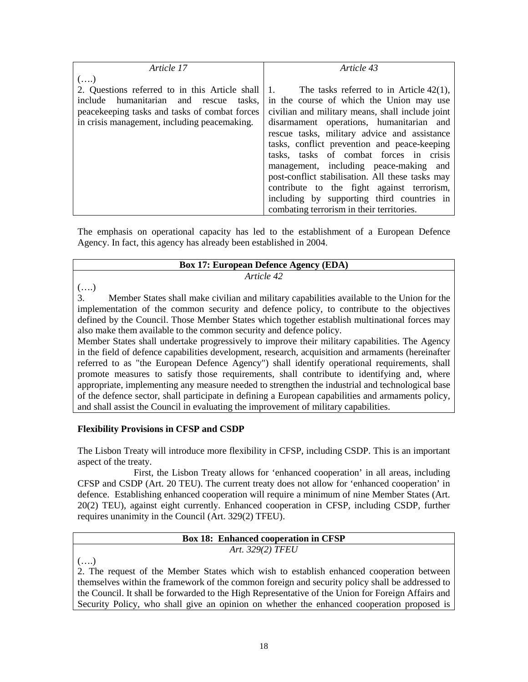| Article 17                                     | Article 43                                       |
|------------------------------------------------|--------------------------------------------------|
| $(\ldots)$                                     |                                                  |
| 2. Questions referred to in this Article shall | The tasks referred to in Article $42(1)$ ,<br>1. |
| include humanitarian and rescue tasks,         | in the course of which the Union may use         |
| peace keeping tasks and tasks of combat forces | civilian and military means, shall include joint |
| in crisis management, including peacemaking.   | disarmament operations, humanitarian and         |
|                                                | rescue tasks, military advice and assistance     |
|                                                | tasks, conflict prevention and peace-keeping     |
|                                                | tasks, tasks of combat forces in crisis          |
|                                                | management, including peace-making and           |
|                                                | post-conflict stabilisation. All these tasks may |
|                                                | contribute to the fight against terrorism,       |
|                                                | including by supporting third countries in       |
|                                                | combating terrorism in their territories.        |
|                                                |                                                  |

The emphasis on operational capacity has led to the establishment of a European Defence Agency. In fact, this agency has already been established in 2004.

| <b>Box 17: European Defence Agency (EDA)</b> |  |
|----------------------------------------------|--|
| Article 42                                   |  |
|                                              |  |

(….)

3. Member States shall make civilian and military capabilities available to the Union for the implementation of the common security and defence policy, to contribute to the objectives defined by the Council. Those Member States which together establish multinational forces may also make them available to the common security and defence policy.

Member States shall undertake progressively to improve their military capabilities. The Agency in the field of defence capabilities development, research, acquisition and armaments (hereinafter referred to as "the European Defence Agency") shall identify operational requirements, shall promote measures to satisfy those requirements, shall contribute to identifying and, where appropriate, implementing any measure needed to strengthen the industrial and technological base of the defence sector, shall participate in defining a European capabilities and armaments policy, and shall assist the Council in evaluating the improvement of military capabilities.

## **Flexibility Provisions in CFSP and CSDP**

The Lisbon Treaty will introduce more flexibility in CFSP, including CSDP. This is an important aspect of the treaty.

First, the Lisbon Treaty allows for 'enhanced cooperation' in all areas, including CFSP and CSDP (Art. 20 TEU). The current treaty does not allow for 'enhanced cooperation' in defence. Establishing enhanced cooperation will require a minimum of nine Member States (Art. 20(2) TEU), against eight currently. Enhanced cooperation in CFSP, including CSDP, further requires unanimity in the Council (Art. 329(2) TFEU).

| <b>Box 18: Enhanced cooperation in CFSP</b>                                              |
|------------------------------------------------------------------------------------------|
| Art. 329(2) TFEU                                                                         |
| $( \ldots )$                                                                             |
| 2. The request of the Member States which wish to establish enhanced cooperation between |
|                                                                                          |

themselves within the framework of the common foreign and security policy shall be addressed to the Council. It shall be forwarded to the High Representative of the Union for Foreign Affairs and Security Policy, who shall give an opinion on whether the enhanced cooperation proposed is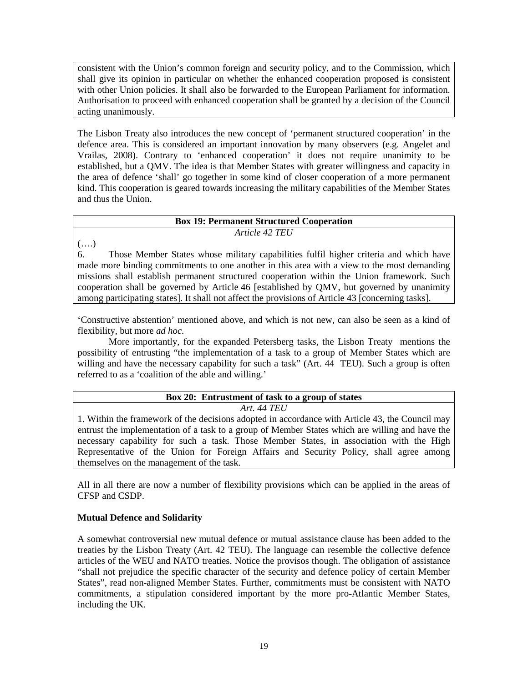consistent with the Union's common foreign and security policy, and to the Commission, which shall give its opinion in particular on whether the enhanced cooperation proposed is consistent with other Union policies. It shall also be forwarded to the European Parliament for information. Authorisation to proceed with enhanced cooperation shall be granted by a decision of the Council acting unanimously.

The Lisbon Treaty also introduces the new concept of 'permanent structured cooperation' in the defence area. This is considered an important innovation by many observers (e.g. Angelet and Vrailas, 2008). Contrary to 'enhanced cooperation' it does not require unanimity to be established, but a QMV. The idea is that Member States with greater willingness and capacity in the area of defence 'shall' go together in some kind of closer cooperation of a more permanent kind. This cooperation is geared towards increasing the military capabilities of the Member States and thus the Union.

## **Box 19: Permanent Structured Cooperation** *Article 42 TEU*

(….)

6. Those Member States whose military capabilities fulfil higher criteria and which have made more binding commitments to one another in this area with a view to the most demanding missions shall establish permanent structured cooperation within the Union framework. Such cooperation shall be governed by Article 46 [established by QMV, but governed by unanimity among participating states]. It shall not affect the provisions of Article 43 [concerning tasks].

'Constructive abstention' mentioned above, and which is not new, can also be seen as a kind of flexibility, but more *ad hoc*.

More importantly, for the expanded Petersberg tasks, the Lisbon Treaty mentions the possibility of entrusting "the implementation of a task to a group of Member States which are willing and have the necessary capability for such a task" (Art. 44 TEU). Such a group is often referred to as a 'coalition of the able and willing.'

## **Box 20: Entrustment of task to a group of states** *Art. 44 TEU* 1. Within the framework of the decisions adopted in accordance with Article 43, the Council may entrust the implementation of a task to a group of Member States which are willing and have the necessary capability for such a task. Those Member States, in association with the High Representative of the Union for Foreign Affairs and Security Policy, shall agree among themselves on the management of the task.

All in all there are now a number of flexibility provisions which can be applied in the areas of CFSP and CSDP.

## **Mutual Defence and Solidarity**

A somewhat controversial new mutual defence or mutual assistance clause has been added to the treaties by the Lisbon Treaty (Art. 42 TEU). The language can resemble the collective defence articles of the WEU and NATO treaties. Notice the provisos though. The obligation of assistance "shall not prejudice the specific character of the security and defence policy of certain Member States", read non-aligned Member States. Further, commitments must be consistent with NATO commitments, a stipulation considered important by the more pro-Atlantic Member States, including the UK.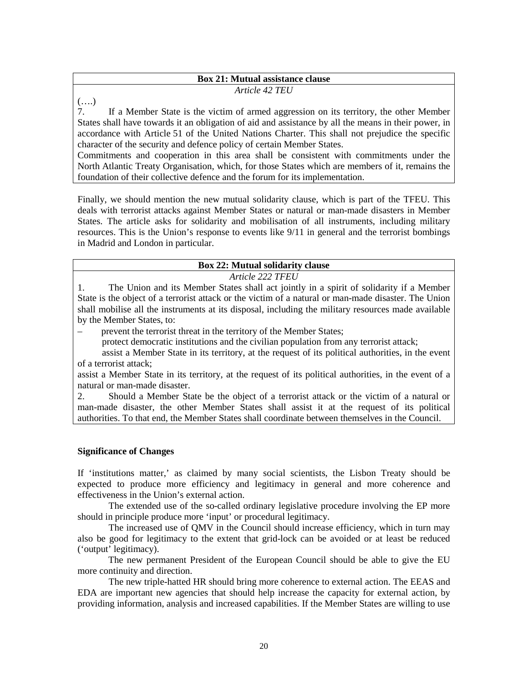## **Box 21: Mutual assistance clause** *Article 42 TEU*

(….)

7. If a Member State is the victim of armed aggression on its territory, the other Member States shall have towards it an obligation of aid and assistance by all the means in their power, in accordance with Article 51 of the United Nations Charter. This shall not prejudice the specific character of the security and defence policy of certain Member States.

Commitments and cooperation in this area shall be consistent with commitments under the North Atlantic Treaty Organisation, which, for those States which are members of it, remains the foundation of their collective defence and the forum for its implementation.

Finally, we should mention the new mutual solidarity clause, which is part of the TFEU. This deals with terrorist attacks against Member States or natural or man-made disasters in Member States. The article asks for solidarity and mobilisation of all instruments, including military resources. This is the Union's response to events like 9/11 in general and the terrorist bombings in Madrid and London in particular.

# **Box 22: Mutual solidarity clause** *Article 222 TFEU*

1. The Union and its Member States shall act jointly in a spirit of solidarity if a Member State is the object of a terrorist attack or the victim of a natural or man-made disaster. The Union shall mobilise all the instruments at its disposal, including the military resources made available by the Member States, to:

– prevent the terrorist threat in the territory of the Member States;

protect democratic institutions and the civilian population from any terrorist attack;

assist a Member State in its territory, at the request of its political authorities, in the event of a terrorist attack;

assist a Member State in its territory, at the request of its political authorities, in the event of a natural or man-made disaster.

2. Should a Member State be the object of a terrorist attack or the victim of a natural or man-made disaster, the other Member States shall assist it at the request of its political authorities. To that end, the Member States shall coordinate between themselves in the Council.

## **Significance of Changes**

If 'institutions matter,' as claimed by many social scientists, the Lisbon Treaty should be expected to produce more efficiency and legitimacy in general and more coherence and effectiveness in the Union's external action.

The extended use of the so-called ordinary legislative procedure involving the EP more should in principle produce more 'input' or procedural legitimacy.

The increased use of QMV in the Council should increase efficiency, which in turn may also be good for legitimacy to the extent that grid-lock can be avoided or at least be reduced ('output' legitimacy).

 The new permanent President of the European Council should be able to give the EU more continuity and direction.

The new triple-hatted HR should bring more coherence to external action. The EEAS and EDA are important new agencies that should help increase the capacity for external action, by providing information, analysis and increased capabilities. If the Member States are willing to use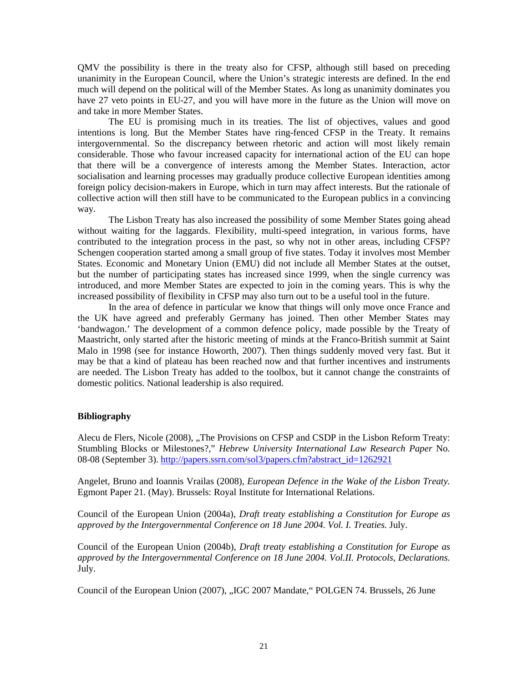QMV the possibility is there in the treaty also for CFSP, although still based on preceding unanimity in the European Council, where the Union's strategic interests are defined. In the end much will depend on the political will of the Member States. As long as unanimity dominates you have 27 veto points in EU-27, and you will have more in the future as the Union will move on and take in more Member States.

The EU is promising much in its treaties. The list of objectives, values and good intentions is long. But the Member States have ring-fenced CFSP in the Treaty. It remains intergovernmental. So the discrepancy between rhetoric and action will most likely remain considerable. Those who favour increased capacity for international action of the EU can hope that there will be a convergence of interests among the Member States. Interaction, actor socialisation and learning processes may gradually produce collective European identities among foreign policy decision-makers in Europe, which in turn may affect interests. But the rationale of collective action will then still have to be communicated to the European publics in a convincing way.

The Lisbon Treaty has also increased the possibility of some Member States going ahead without waiting for the laggards. Flexibility, multi-speed integration, in various forms, have contributed to the integration process in the past, so why not in other areas, including CFSP? Schengen cooperation started among a small group of five states. Today it involves most Member States. Economic and Monetary Union (EMU) did not include all Member States at the outset, but the number of participating states has increased since 1999, when the single currency was introduced, and more Member States are expected to join in the coming years. This is why the increased possibility of flexibility in CFSP may also turn out to be a useful tool in the future.

In the area of defence in particular we know that things will only move once France and the UK have agreed and preferably Germany has joined. Then other Member States may 'bandwagon.' The development of a common defence policy, made possible by the Treaty of Maastricht, only started after the historic meeting of minds at the Franco-British summit at Saint Malo in 1998 (see for instance Howorth, 2007). Then things suddenly moved very fast. But it may be that a kind of plateau has been reached now and that further incentives and instruments are needed. The Lisbon Treaty has added to the toolbox, but it cannot change the constraints of domestic politics. National leadership is also required.

## **Bibliography**

Alecu de Flers, Nicole (2008), "The Provisions on CFSP and CSDP in the Lisbon Reform Treaty: Stumbling Blocks or Milestones?," *Hebrew University International Law Research Paper* No. 08-08 (September 3). [http://papers.ssrn.com/sol3/papers.cfm?abstract\\_id=1262921](http://papers.ssrn.com/sol3/papers.cfm?abstract_id=1262921)

Angelet, Bruno and Ioannis Vrailas (2008), *European Defence in the Wake of the Lisbon Treaty.* Egmont Paper 21. (May). Brussels: Royal Institute for International Relations.

Council of the European Union (2004a), *Draft treaty establishing a Constitution for Europe as approved by the Intergovernmental Conference on 18 June 2004. Vol. I. Treaties.* July.

Council of the European Union (2004b), *Draft treaty establishing a Constitution for Europe as approved by the Intergovernmental Conference on 18 June 2004. Vol.II. Protocols, Declarations.* July.

Council of the European Union (2007), "IGC 2007 Mandate," POLGEN 74. Brussels, 26 June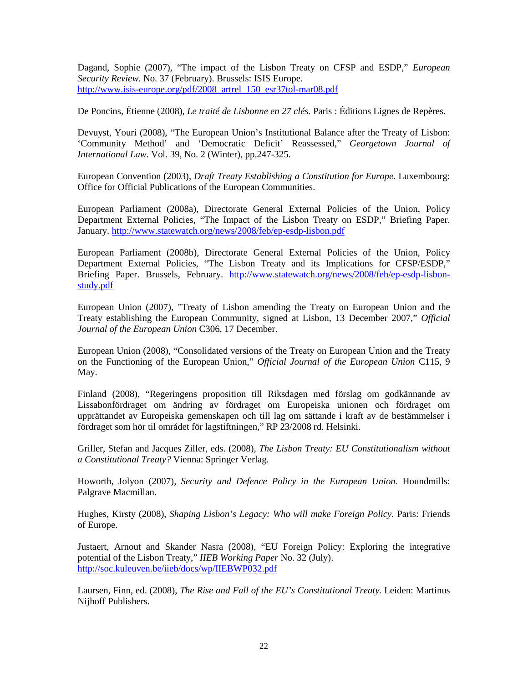Dagand, Sophie (2007), "The impact of the Lisbon Treaty on CFSP and ESDP," *European Security Review*. No. 37 (February). Brussels: ISIS Europe. [http://www.isis-europe.org/pdf/2008\\_artrel\\_150\\_esr37tol-mar08.pdf](http://www.isis-europe.org/pdf/2008_artrel_150_esr37tol-mar08.pdf)

De Poncins, Étienne (2008), *Le traité de Lisbonne en 27 clés.* Paris : Éditions Lignes de Repères.

Devuyst, Youri (2008), "The European Union's Institutional Balance after the Treaty of Lisbon: 'Community Method' and 'Democratic Deficit' Reassessed," *Georgetown Journal of International Law.* Vol. 39, No. 2 (Winter), pp.247-325.

European Convention (2003), *Draft Treaty Establishing a Constitution for Europe.* Luxembourg: Office for Official Publications of the European Communities.

European Parliament (2008a), Directorate General External Policies of the Union, Policy Department External Policies, "The Impact of the Lisbon Treaty on ESDP," Briefing Paper. January.<http://www.statewatch.org/news/2008/feb/ep-esdp-lisbon.pdf>

European Parliament (2008b), Directorate General External Policies of the Union, Policy Department External Policies, "The Lisbon Treaty and its Implications for CFSP/ESDP," Briefing Paper. Brussels, February. [http://www.statewatch.org/news/2008/feb/ep-esdp-lisbon](http://www.statewatch.org/news/2008/feb/ep-esdp-lisbon-study.pdf)[study.pdf](http://www.statewatch.org/news/2008/feb/ep-esdp-lisbon-study.pdf)

European Union (2007), "Treaty of Lisbon amending the Treaty on European Union and the Treaty establishing the European Community, signed at Lisbon, 13 December 2007," *Official Journal of the European Union* C306, 17 December.

European Union (2008), "Consolidated versions of the Treaty on European Union and the Treaty on the Functioning of the European Union," *Official Journal of the European Union* C115, 9 May.

Finland (2008), "Regeringens proposition till Riksdagen med förslag om godkännande av Lissabonfördraget om ändring av fördraget om Europeiska unionen och fördraget om upprättandet av Europeiska gemenskapen och till lag om sättande i kraft av de bestämmelser i fördraget som hör til området för lagstiftningen," RP 23/2008 rd. Helsinki.

Griller, Stefan and Jacques Ziller, eds. (2008), *The Lisbon Treaty: EU Constitutionalism without a Constitutional Treaty?* Vienna: Springer Verlag.

Howorth, Jolyon (2007), *Security and Defence Policy in the European Union.* Houndmills: Palgrave Macmillan.

Hughes, Kirsty (2008), *Shaping Lisbon's Legacy: Who will make Foreign Policy.* Paris: Friends of Europe.

Justaert, Arnout and Skander Nasra (2008), "EU Foreign Policy: Exploring the integrative potential of the Lisbon Treaty," *IIEB Working Paper* No. 32 (July). <http://soc.kuleuven.be/iieb/docs/wp/IIEBWP032.pdf>

Laursen, Finn, ed. (2008), *The Rise and Fall of the EU's Constitutional Treaty.* Leiden: Martinus Nijhoff Publishers.